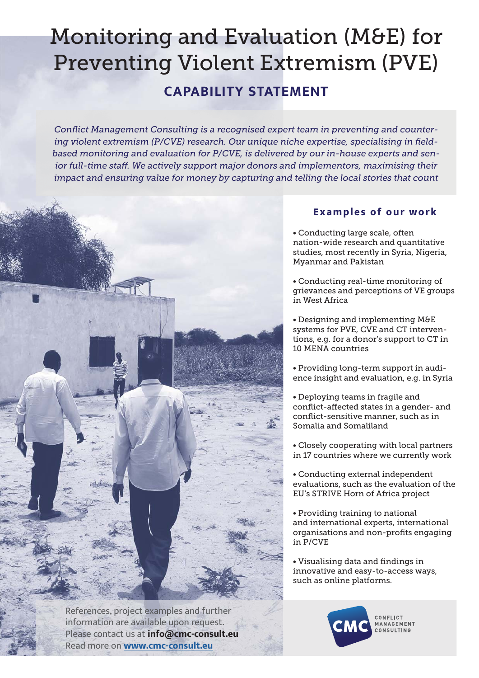## Monitoring and Evaluation (M&E) for Preventing Violent Extremism (PVE)

## **CAPABILITY STATEMENT**

Conflict Management Consulting is a recognised expert team in preventing and countering violent extremism (P/CVE) research. Our unique niche expertise, specialising in field*based monitoring and evaluation for P/CVE, is delivered by our in-house experts and sen*ior full-time staff. We actively support major donors and implementors, maximising their *impact and ensuring value for money by capturing and telling the local stories that count*



References, project examples and further information are available upon request. Please contact us at **info@cmc-consult.eu** Read more on **www.cmc-consult.eu**

## **Examples of our work**

• Conducting large scale, often nation-wide research and quantitative studies, most recently in Syria, Nigeria, Myanmar and Pakistan

• Conducting real-time monitoring of grievances and perceptions of VE groups in West Africa

• Designing and implementing M&E systems for PVE, CVE and CT interventions, e.g. for a donor's support to CT in 10 MENA countries

• Providing long-term support in audience insight and evaluation, e.g. in Syria

• Deploying teams in fragile and conflict-affected states in a gender- and conflict-sensitive manner, such as in Somalia and Somaliland

• Closely cooperating with local partners in 17 countries where we currently work

• Conducting external independent evaluations, such as the evaluation of the EU's STRIVE Horn of Africa project

• Providing training to national and international experts, international organisations and non-profits engaging in P/CVE

• Visualising data and findings in innovative and easy-to-access ways, such as online platforms.